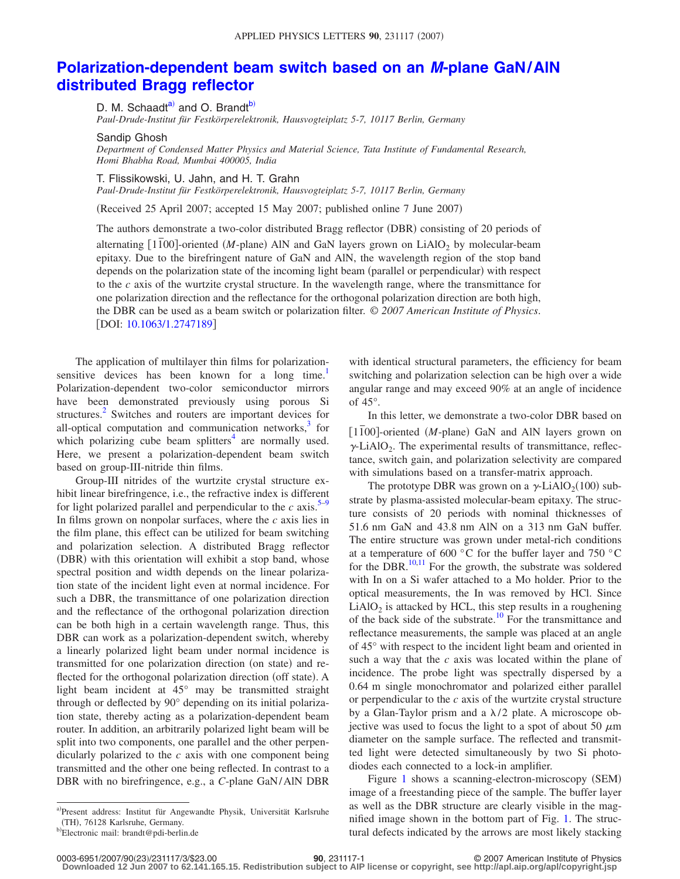## **[Polarization-dependent beam switch based on an](http://dx.doi.org/10.1063/1.2747189)** *M***-plane GaN/AlN [distributed Bragg reflector](http://dx.doi.org/10.1063/1.2747189)**

D. M. Schaadt<sup>a)</sup> and O. Brandt<sup>b)</sup>

*Paul-Drude-Institut für Festkörperelektronik, Hausvogteiplatz 5-7, 10117 Berlin, Germany*

Sandip Ghosh

*Department of Condensed Matter Physics and Material Science, Tata Institute of Fundamental Research, Homi Bhabha Road, Mumbai 400005, India*

T. Flissikowski, U. Jahn, and H. T. Grahn

*Paul-Drude-Institut für Festkörperelektronik, Hausvogteiplatz 5-7, 10117 Berlin, Germany*

Received 25 April 2007; accepted 15 May 2007; published online 7 June 2007-

The authors demonstrate a two-color distributed Bragg reflector (DBR) consisting of 20 periods of alternating [1<sup> $\overline{100}$ ]-oriented *(M*-plane) AlN and GaN layers grown on LiAlO<sub>2</sub> by molecular-beam</sup> epitaxy. Due to the birefringent nature of GaN and AlN, the wavelength region of the stop band depends on the polarization state of the incoming light beam (parallel or perpendicular) with respect to the *c* axis of the wurtzite crystal structure. In the wavelength range, where the transmittance for one polarization direction and the reflectance for the orthogonal polarization direction are both high, the DBR can be used as a beam switch or polarization filter. © *2007 American Institute of Physics*. [DOI: [10.1063/1.2747189](http://dx.doi.org/10.1063/1.2747189)]

The application of multilayer thin films for polarizationsensitive devices has been known for a long time.<sup>1</sup> Polarization-dependent two-color semiconductor mirrors have been demonstrated previously using porous Si structures.<sup>2</sup> Switches and routers are important devices for all-optical computation and communication networks, $3$  for which polarizing cube beam splitters<sup>4</sup> are normally used. Here, we present a polarization-dependent beam switch based on group-III-nitride thin films.

Group-III nitrides of the wurtzite crystal structure exhibit linear birefringence, i.e., the refractive index is different for light polarized parallel and perpendicular to the  $c$  axis.<sup>5–[9](#page-2-5)</sup> In films grown on nonpolar surfaces, where the *c* axis lies in the film plane, this effect can be utilized for beam switching and polarization selection. A distributed Bragg reflector (DBR) with this orientation will exhibit a stop band, whose spectral position and width depends on the linear polarization state of the incident light even at normal incidence. For such a DBR, the transmittance of one polarization direction and the reflectance of the orthogonal polarization direction can be both high in a certain wavelength range. Thus, this DBR can work as a polarization-dependent switch, whereby a linearly polarized light beam under normal incidence is transmitted for one polarization direction (on state) and reflected for the orthogonal polarization direction (off state). A light beam incident at 45° may be transmitted straight through or deflected by 90° depending on its initial polarization state, thereby acting as a polarization-dependent beam router. In addition, an arbitrarily polarized light beam will be split into two components, one parallel and the other perpendicularly polarized to the *c* axis with one component being transmitted and the other one being reflected. In contrast to a DBR with no birefringence, e.g., a *C*-plane GaN/AlN DBR with identical structural parameters, the efficiency for beam switching and polarization selection can be high over a wide angular range and may exceed 90% at an angle of incidence of 45°.

In this letter, we demonstrate a two-color DBR based on [1<sup> $\overline{1}$ 00]-oriented (*M*-plane) GaN and AlN layers grown on</sup>  $\gamma$ -LiAlO<sub>2</sub>. The experimental results of transmittance, reflectance, switch gain, and polarization selectivity are compared with simulations based on a transfer-matrix approach.

The prototype DBR was grown on a  $\gamma$ -LiAlO<sub>2</sub>(100) substrate by plasma-assisted molecular-beam epitaxy. The structure consists of 20 periods with nominal thicknesses of 51.6 nm GaN and 43.8 nm AlN on a 313 nm GaN buffer. The entire structure was grown under metal-rich conditions at a temperature of 600 °C for the buffer layer and 750 °C for the DBR. $^{10,11}$  $^{10,11}$  $^{10,11}$  For the growth, the substrate was soldered with In on a Si wafer attached to a Mo holder. Prior to the optical measurements, the In was removed by HCl. Since  $LiAlO<sub>2</sub>$  is attacked by HCL, this step results in a roughening of the back side of the substrate.<sup>10</sup> For the transmittance and reflectance measurements, the sample was placed at an angle of 45° with respect to the incident light beam and oriented in such a way that the *c* axis was located within the plane of incidence. The probe light was spectrally dispersed by a 0.64 m single monochromator and polarized either parallel or perpendicular to the *c* axis of the wurtzite crystal structure by a Glan-Taylor prism and a  $\lambda/2$  plate. A microscope objective was used to focus the light to a spot of about 50  $\mu$ m diameter on the sample surface. The reflected and transmitted light were detected simultaneously by two Si photodiodes each connected to a lock-in amplifier.

Figure [1](#page-1-0) shows a scanning-electron-microscopy (SEM) image of a freestanding piece of the sample. The buffer layer as well as the DBR structure are clearly visible in the magnified image shown in the bottom part of Fig. [1.](#page-1-0) The structural defects indicated by the arrows are most likely stacking

23/231117/3/\$23.00 © 2007 American Institute of Physics **90**, 231117-1 **Downloaded 12 Jun 2007 to 62.141.165.15. Redistribution subject to AIP license or copyright, see http://apl.aip.org/apl/copyright.jsp**

<span id="page-0-1"></span><span id="page-0-0"></span>a)Present address: Institut für Angewandte Physik, Universität Karlsruhe  $(TH)$ , 76128 Karlsruhe, Germany.

Electronic mail: brandt@pdi-berlin.de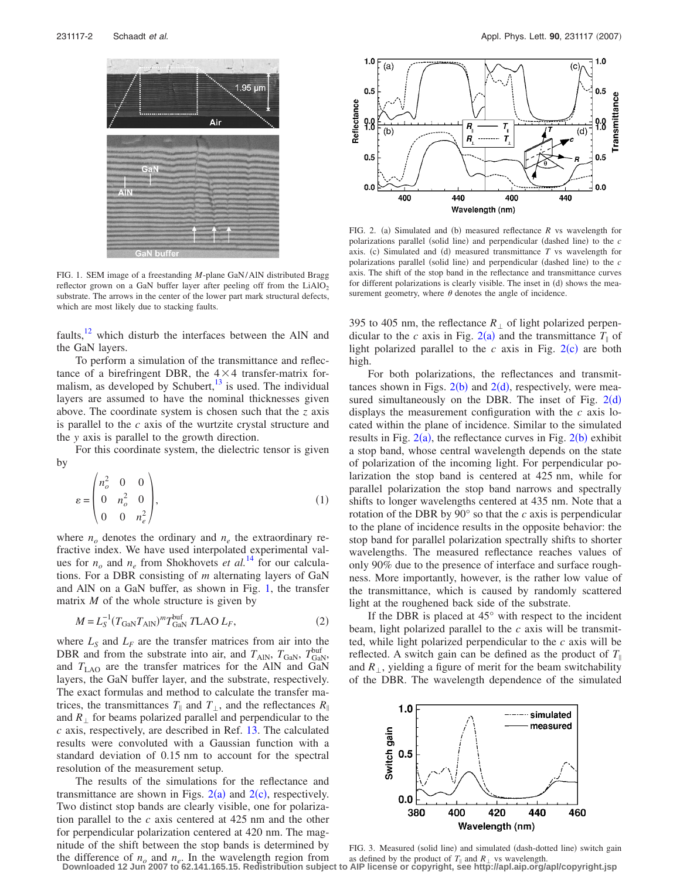<span id="page-1-0"></span>

FIG. 1. SEM image of a freestanding *M*-plane GaN/AlN distributed Bragg reflector grown on a GaN buffer layer after peeling off from the  $LiAlO<sub>2</sub>$ substrate. The arrows in the center of the lower part mark structural defects, which are most likely due to stacking faults.

faults, $12$  which disturb the interfaces between the AlN and the GaN layers.

To perform a simulation of the transmittance and reflectance of a birefringent DBR, the  $4 \times 4$  transfer-matrix formalism, as developed by Schubert, $^{13}$  is used. The individual layers are assumed to have the nominal thicknesses given above. The coordinate system is chosen such that the *z* axis is parallel to the *c* axis of the wurtzite crystal structure and the *y* axis is parallel to the growth direction.

For this coordinate system, the dielectric tensor is given by

$$
\varepsilon = \begin{pmatrix} n_o^2 & 0 & 0 \\ 0 & n_o^2 & 0 \\ 0 & 0 & n_e^2 \end{pmatrix},
$$
 (1)

where  $n<sub>o</sub>$  denotes the ordinary and  $n<sub>e</sub>$  the extraordinary refractive index. We have used interpolated experimental values for  $n<sub>o</sub>$  and  $n<sub>e</sub>$  from Shokhovets *et al.*<sup>[14](#page-2-10)</sup> for our calculations. For a DBR consisting of *m* alternating layers of GaN and AlN on a GaN buffer, as shown in Fig. [1,](#page-1-0) the transfer matrix *M* of the whole structure is given by

$$
M = L_S^{-1} (T_{\text{GAN}} T_{\text{AlN}})^m T_{\text{GAN}}^{\text{buf}} T \text{LAO} L_F,
$$
 (2)

where  $L<sub>S</sub>$  and  $L<sub>F</sub>$  are the transfer matrices from air into the DBR and from the substrate into air, and  $T_{\text{AlN}}$ ,  $T_{\text{GaN}}$ ,  $T_{\text{GaN}}^{\text{buf}}$ and  $T_{\text{LAO}}$  are the transfer matrices for the AlN and GaN layers, the GaN buffer layer, and the substrate, respectively. The exact formulas and method to calculate the transfer matrices, the transmittances  $T_{\parallel}$  and  $T_{\perp}$ , and the reflectances  $R_{\parallel}$ and  $R_{\perp}$  for beams polarized parallel and perpendicular to the *c* axis, respectively, are described in Ref. [13.](#page-2-9) The calculated results were convoluted with a Gaussian function with a standard deviation of 0.15 nm to account for the spectral resolution of the measurement setup.

The results of the simulations for the reflectance and transmittance are shown in Figs.  $2(a)$  $2(a)$  and  $2(c)$ , respectively. Two distinct stop bands are clearly visible, one for polarization parallel to the *c* axis centered at 425 nm and the other for perpendicular polarization centered at 420 nm. The magnitude of the shift between the stop bands is determined by the difference of  $n<sub>o</sub>$  and  $n<sub>e</sub>$ . In the wavelength region from

<span id="page-1-1"></span>

FIG. 2. (a) Simulated and (b) measured reflectance  $R$  vs wavelength for polarizations parallel (solid line) and perpendicular (dashed line) to the *c* axis. (c) Simulated and (d) measured transmittance  $T$  vs wavelength for polarizations parallel (solid line) and perpendicular (dashed line) to the *c* axis. The shift of the stop band in the reflectance and transmittance curves for different polarizations is clearly visible. The inset in (d) shows the measurement geometry, where  $\theta$  denotes the angle of incidence.

395 to 405 nm, the reflectance  $R_{\perp}$  of light polarized perpendicular to the *c* axis in Fig. [2](#page-1-1)(a) and the transmittance  $T_{\parallel}$  of light polarized parallel to the  $c$  axis in Fig.  $2(c)$  $2(c)$  are both high.

For both polarizations, the reflectances and transmittances shown in Figs.  $2(b)$  $2(b)$  and  $2(d)$ , respectively, were measured simultaneously on the DBR. The inset of Fig.  $2(d)$  $2(d)$ displays the measurement configuration with the *c* axis located within the plane of incidence. Similar to the simulated results in Fig.  $2(a)$  $2(a)$ , the reflectance curves in Fig.  $2(b)$  exhibit a stop band, whose central wavelength depends on the state of polarization of the incoming light. For perpendicular polarization the stop band is centered at 425 nm, while for parallel polarization the stop band narrows and spectrally shifts to longer wavelengths centered at 435 nm. Note that a rotation of the DBR by 90° so that the *c* axis is perpendicular to the plane of incidence results in the opposite behavior: the stop band for parallel polarization spectrally shifts to shorter wavelengths. The measured reflectance reaches values of only 90% due to the presence of interface and surface roughness. More importantly, however, is the rather low value of the transmittance, which is caused by randomly scattered light at the roughened back side of the substrate.

If the DBR is placed at  $45^{\circ}$  with respect to the incident beam, light polarized parallel to the *c* axis will be transmitted, while light polarized perpendicular to the *c* axis will be reflected. A switch gain can be defined as the product of  $T_{\parallel}$ and  $R_{\perp}$ , yielding a figure of merit for the beam switchability of the DBR. The wavelength dependence of the simulated

<span id="page-1-2"></span>

FIG. 3. Measured (solid line) and simulated (dash-dotted line) switch gain as defined by the product of  $T_{\parallel}$  and  $R_{\perp}$  vs wavelength. **Downloaded 12 Jun 2007 to 62.141.165.15. Redistribution subject to AIP license or copyright, see http://apl.aip.org/apl/copyright.jsp**